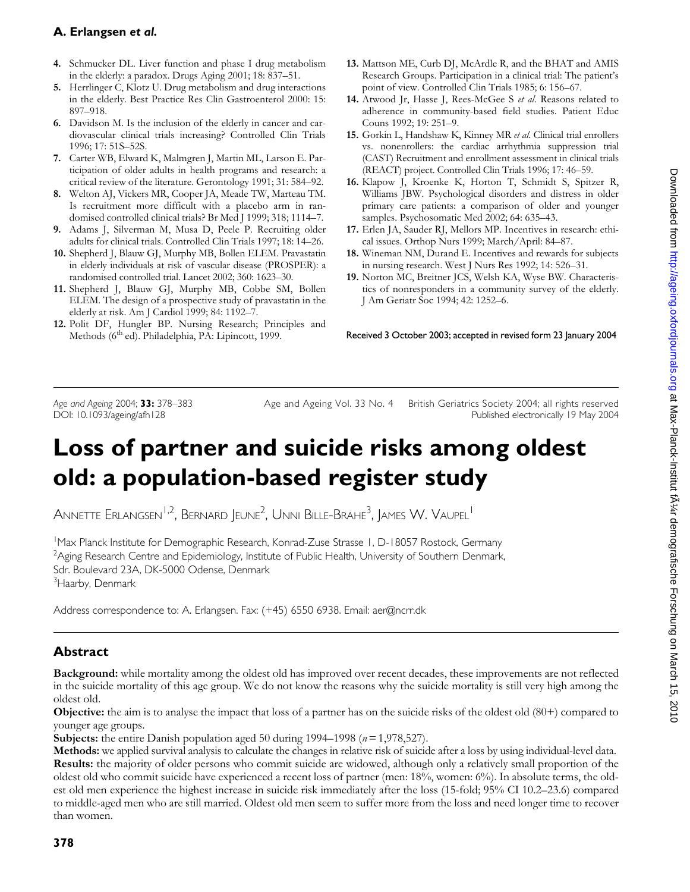# **A. Erlangsen** *et al.*

- **4.** Schmucker DL. Liver function and phase I drug metabolism in the elderly: a paradox. Drugs Aging 2001; 18: 837–51.
- **5.** Herrlinger C, Klotz U. Drug metabolism and drug interactions in the elderly. Best Practice Res Clin Gastroenterol 2000: 15: 897–918.
- **6.** Davidson M. Is the inclusion of the elderly in cancer and cardiovascular clinical trials increasing? Controlled Clin Trials 1996; 17: 51S–52S.
- **7.** Carter WB, Elward K, Malmgren J, Martin ML, Larson E. Participation of older adults in health programs and research: a critical review of the literature. Gerontology 1991; 31: 584–92.
- **8.** Welton AJ, Vickers MR, Cooper JA, Meade TW, Marteau TM. Is recruitment more difficult with a placebo arm in randomised controlled clinical trials? Br Med J 1999; 318; 1114–7.
- **9.** Adams J, Silverman M, Musa D, Peele P. Recruiting older adults for clinical trials. Controlled Clin Trials 1997; 18: 14–26.
- **10.** Shepherd J, Blauw GJ, Murphy MB, Bollen ELEM. Pravastatin in elderly individuals at risk of vascular disease (PROSPER): a randomised controlled trial. Lancet 2002; 360: 1623–30.
- **11.** Shepherd J, Blauw GJ, Murphy MB, Cobbe SM, Bollen ELEM. The design of a prospective study of pravastatin in the elderly at risk. Am J Cardiol 1999; 84: 1192–7.
- **12.** Polit DF, Hungler BP. Nursing Research; Principles and Methods (6<sup>th</sup> ed). Philadelphia, PA: Lipincott, 1999.
- **13.** Mattson ME, Curb DJ, McArdle R, and the BHAT and AMIS Research Groups. Participation in a clinical trial: The patient's point of view. Controlled Clin Trials 1985; 6: 156–67.
- **14.** Atwood Jr, Hasse J, Rees-McGee S *et al*. Reasons related to adherence in community-based field studies. Patient Educ Couns 1992; 19: 251–9.
- **15.** Gorkin L, Handshaw K, Kinney MR *et al*. Clinical trial enrollers vs. nonenrollers: the cardiac arrhythmia suppression trial (CAST) Recruitment and enrollment assessment in clinical trials (REACT) project. Controlled Clin Trials 1996; 17: 46–59.
- **16.** Klapow J, Kroenke K, Horton T, Schmidt S, Spitzer R, Williams JBW. Psychological disorders and distress in older primary care patients: a comparison of older and younger samples. Psychosomatic Med 2002; 64: 635–43.
- **17.** Erlen JA, Sauder RJ, Mellors MP. Incentives in research: ethical issues. Orthop Nurs 1999; March/April: 84–87.
- **18.** Wineman NM, Durand E. Incentives and rewards for subjects in nursing research. West J Nurs Res 1992; 14: 526–31.
- **19.** Norton MC, Breitner JCS, Welsh KA, Wyse BW. Characteristics of nonresponders in a community survey of the elderly. J Am Geriatr Soc 1994; 42: 1252–6.

Received 3 October 2003; accepted in revised form 23 January 2004

*Age and Ageing* 2004; **33:** 378–383 Age and Ageing Vol. 33 No. 4 British Geriatrics Society 2004; all rights reserved Published electronically 19 May 2004

# **Loss of partner and suicide risks among oldest old: a population-based register study**

Annette Erlangsen $^{1,2}$ , Bernard Jeune<sup>2</sup>, Unni Bille-Brahe<sup>3</sup>, James W. Vaupel $^{\mathsf{I}}$ 

<sup>1</sup>Max Planck Institute for Demographic Research, Konrad-Zuse Strasse 1, D-18057 Rostock, Germany  $^2$ Aging Research Centre and Epidemiology, Institute of Public Health, University of Southern Denmark, Sdr. Boulevard 23A, DK-5000 Odense, Denmark <sup>3</sup>Haarby, Denmark

Address correspondence to: A. Erlangsen. Fax: (+45) 6550 6938. Email: aer@ncrr.dk

# **Abstract**

**Background:** while mortality among the oldest old has improved over recent decades, these improvements are not reflected in the suicide mortality of this age group. We do not know the reasons why the suicide mortality is still very high among the oldest old.

**Objective:** the aim is to analyse the impact that loss of a partner has on the suicide risks of the oldest old (80+) compared to younger age groups.

**Subjects:** the entire Danish population aged 50 during 1994–1998 (*n*= 1,978,527).

**Methods:** we applied survival analysis to calculate the changes in relative risk of suicide after a loss by using individual-level data. **Results:** the majority of older persons who commit suicide are widowed, although only a relatively small proportion of the oldest old who commit suicide have experienced a recent loss of partner (men: 18%, women: 6%). In absolute terms, the oldest old men experience the highest increase in suicide risk immediately after the loss (15-fold; 95% CI 10.2–23.6) compared to middle-aged men who are still married. Oldest old men seem to suffer more from the loss and need longer time to recover than women.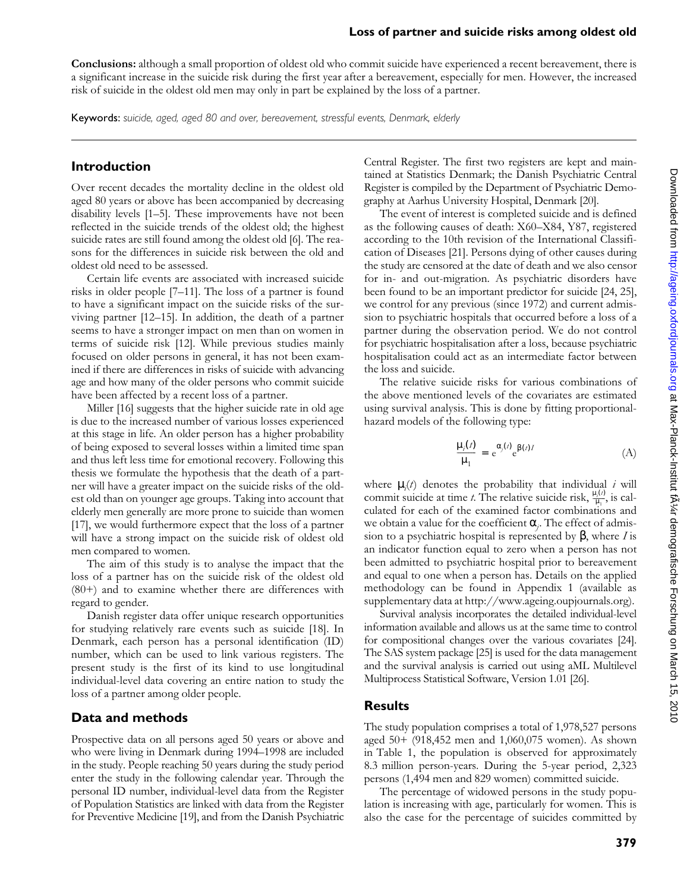**Conclusions:** although a small proportion of oldest old who commit suicide have experienced a recent bereavement, there is a significant increase in the suicide risk during the first year after a bereavement, especially for men. However, the increased risk of suicide in the oldest old men may only in part be explained by the loss of a partner.

Keywords: *suicide, aged, aged 80 and over, bereavement, stressful events, Denmark, elderly* 

#### **Introduction**

Over recent decades the mortality decline in the oldest old aged 80 years or above has been accompanied by decreasing disability levels [1–5]. These improvements have not been reflected in the suicide trends of the oldest old; the highest suicide rates are still found among the oldest old [6]. The reasons for the differences in suicide risk between the old and oldest old need to be assessed.

Certain life events are associated with increased suicide risks in older people [7–11]. The loss of a partner is found to have a significant impact on the suicide risks of the surviving partner [12–15]. In addition, the death of a partner seems to have a stronger impact on men than on women in terms of suicide risk [12]. While previous studies mainly focused on older persons in general, it has not been examined if there are differences in risks of suicide with advancing age and how many of the older persons who commit suicide have been affected by a recent loss of a partner.

Miller [16] suggests that the higher suicide rate in old age is due to the increased number of various losses experienced at this stage in life. An older person has a higher probability of being exposed to several losses within a limited time span and thus left less time for emotional recovery. Following this thesis we formulate the hypothesis that the death of a partner will have a greater impact on the suicide risks of the oldest old than on younger age groups. Taking into account that elderly men generally are more prone to suicide than women [17], we would furthermore expect that the loss of a partner will have a strong impact on the suicide risk of oldest old men compared to women.

The aim of this study is to analyse the impact that the loss of a partner has on the suicide risk of the oldest old (80+) and to examine whether there are differences with regard to gender.

Danish register data offer unique research opportunities for studying relatively rare events such as suicide [18]. In Denmark, each person has a personal identification (ID) number, which can be used to link various registers. The present study is the first of its kind to use longitudinal individual-level data covering an entire nation to study the loss of a partner among older people.

#### **Data and methods**

Prospective data on all persons aged 50 years or above and who were living in Denmark during 1994–1998 are included in the study. People reaching 50 years during the study period enter the study in the following calendar year. Through the personal ID number, individual-level data from the Register of Population Statistics are linked with data from the Register for Preventive Medicine [19], and from the Danish Psychiatric Central Register. The first two registers are kept and maintained at Statistics Denmark; the Danish Psychiatric Central Register is compiled by the Department of Psychiatric Demography at Aarhus University Hospital, Denmark [20].

The event of interest is completed suicide and is defined as the following causes of death: X60–X84, Y87, registered according to the 10th revision of the International Classification of Diseases [21]. Persons dying of other causes during the study are censored at the date of death and we also censor for in- and out-migration. As psychiatric disorders have been found to be an important predictor for suicide [24, 25], we control for any previous (since 1972) and current admission to psychiatric hospitals that occurred before a loss of a partner during the observation period. We do not control for psychiatric hospitalisation after a loss, because psychiatric hospitalisation could act as an intermediate factor between the loss and suicide.

The relative suicide risks for various combinations of the above mentioned levels of the covariates are estimated using survival analysis. This is done by fitting proportionalhazard models of the following type:

$$
\frac{\mu_i(t)}{\mu_1} = e^{\alpha_j(t)} e^{\beta(t)I}
$$
 (A)

where  $\mu_i(t)$  denotes the probability that individual *i* will commit suicide at time *t*. The relative suicide risk,  $\frac{\mu_i(t)}{\mu_i}$ , is calculated for each of the examined factor combinations and we obtain a value for the coefficient α*<sup>j</sup>* . The effect of admission to a psychiatric hospital is represented by β, where *I* is an indicator function equal to zero when a person has not been admitted to psychiatric hospital prior to bereavement and equal to one when a person has. Details on the applied methodology can be found in Appendix 1 (available as supplementary data at<http://www.ageing.oupjournals.org>).

Survival analysis incorporates the detailed individual-level information available and allows us at the same time to control for compositional changes over the various covariates [24]. The SAS system package [25] is used for the data management and the survival analysis is carried out using aML Multilevel Multiprocess Statistical Software, Version 1.01 [26].

#### **Results**

The study population comprises a total of 1,978,527 persons aged 50+ (918,452 men and 1,060,075 women). As shown in Table 1, the population is observed for approximately 8.3 million person-years. During the 5-year period, 2,323 persons (1,494 men and 829 women) committed suicide.

The percentage of widowed persons in the study population is increasing with age, particularly for women. This is also the case for the percentage of suicides committed by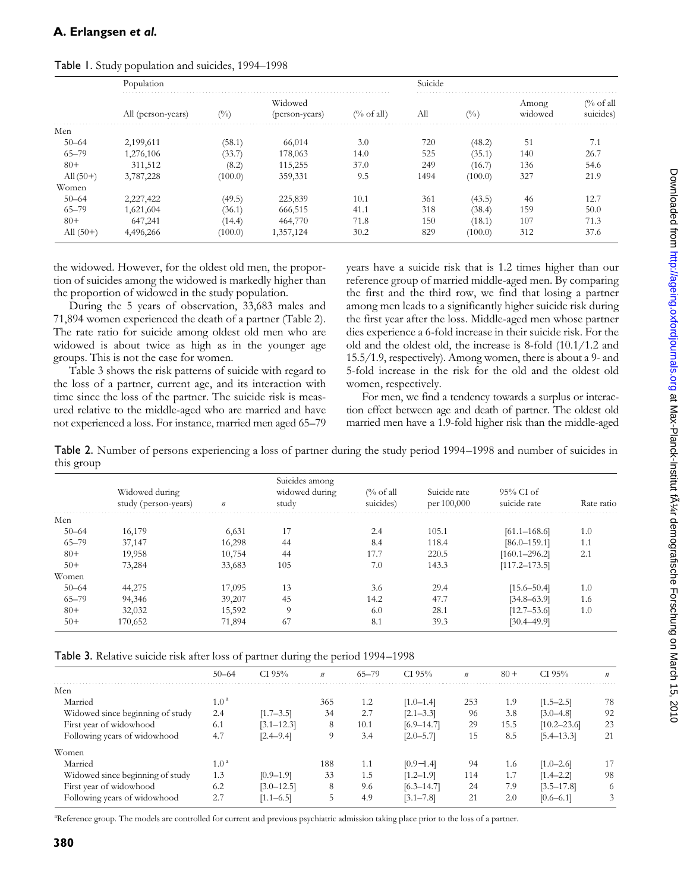|             | Population         |         |                           |                      | Suicide |         |                  |                                   |  |  |
|-------------|--------------------|---------|---------------------------|----------------------|---------|---------|------------------|-----------------------------------|--|--|
|             | All (person-years) | (0/0)   | Widowed<br>(person-years) | $\frac{1}{2}$ of all | All     | (0/0)   | Among<br>widowed | $\frac{6}{6}$ of all<br>suicides) |  |  |
| Men         |                    |         |                           |                      |         |         |                  |                                   |  |  |
| $50 - 64$   | 2,199,611          | (58.1)  | 66,014                    | 3.0                  | 720     | (48.2)  | 51               | 7.1                               |  |  |
| $65 - 79$   | 1,276,106          | (33.7)  | 178,063                   | 14.0                 | 525     | (35.1)  | 140              | 26.7                              |  |  |
| $80+$       | 311,512            | (8.2)   | 115,255                   | 37.0                 | 249     | (16.7)  | 136              | 54.6                              |  |  |
| $All(50+)$  | 3,787,228          | (100.0) | 359,331                   | 9.5                  | 1494    | (100.0) | 327              | 21.9                              |  |  |
| Women       |                    |         |                           |                      |         |         |                  |                                   |  |  |
| $50 - 64$   | 2,227,422          | (49.5)  | 225,839                   | 10.1                 | 361     | (43.5)  | 46               | 12.7                              |  |  |
| $65 - 79$   | 1,621,604          | (36.1)  | 666,515                   | 41.1                 | 318     | (38.4)  | 159              | 50.0                              |  |  |
| $80+$       | 647,241            | (14.4)  | 464,770                   | 71.8                 | 150     | (18.1)  | 107              | 71.3                              |  |  |
| All $(50+)$ | 4,496,266          | (100.0) | 1,357,124                 | 30.2                 | 829     | (100.0) | 312              | 37.6                              |  |  |

Table 1. Study population and suicides, 1994–1998

the widowed. However, for the oldest old men, the proportion of suicides among the widowed is markedly higher than the proportion of widowed in the study population.

During the 5 years of observation, 33,683 males and 71,894 women experienced the death of a partner (Table 2). The rate ratio for suicide among oldest old men who are widowed is about twice as high as in the younger age groups. This is not the case for women.

Table 3 shows the risk patterns of suicide with regard to the loss of a partner, current age, and its interaction with time since the loss of the partner. The suicide risk is measured relative to the middle-aged who are married and have not experienced a loss. For instance, married men aged 65–79 years have a suicide risk that is 1.2 times higher than our reference group of married middle-aged men. By comparing the first and the third row, we find that losing a partner among men leads to a significantly higher suicide risk during the first year after the loss. Middle-aged men whose partner dies experience a 6-fold increase in their suicide risk. For the old and the oldest old, the increase is 8-fold (10.1/1.2 and 15.5/1.9, respectively). Among women, there is about a 9- and 5-fold increase in the risk for the old and the oldest old women, respectively.

For men, we find a tendency towards a surplus or interaction effect between age and death of partner. The oldest old married men have a 1.9-fold higher risk than the middle-aged

Table 2. Number of persons experiencing a loss of partner during the study period 1994–1998 and number of suicides in this group

|           | Widowed during<br>study (person-years) | $\boldsymbol{n}$ | Suicides among<br>widowed during<br>study | $\frac{6}{6}$ of all<br>suicides) | Suicide rate<br>per 100,000 | $95\%$ CI of<br>suicide rate | Rate ratio |
|-----------|----------------------------------------|------------------|-------------------------------------------|-----------------------------------|-----------------------------|------------------------------|------------|
| Men       |                                        |                  |                                           |                                   |                             |                              |            |
| $50 - 64$ | 16,179                                 | 6,631            | 17                                        | 2.4                               | 105.1                       | $[61.1 - 168.6]$             | 1.0        |
| $65 - 79$ | 37,147                                 | 16,298           | 44                                        | 8.4                               | 118.4                       | $[86.0 - 159.1]$             | 1.1        |
| $80+$     | 19,958                                 | 10,754           | 44                                        | 17.7                              | 220.5                       | $[160.1 - 296.2]$            | 2.1        |
| $50+$     | 73,284                                 | 33,683           | 105                                       | 7.0                               | 143.3                       | $[117.2 - 173.5]$            |            |
| Women     |                                        |                  |                                           |                                   |                             |                              |            |
| $50 - 64$ | 44,275                                 | 17,095           | 13                                        | 3.6                               | 29.4                        | $[15.6 - 50.4]$              | 1.0        |
| $65 - 79$ | 94,346                                 | 39,207           | 45                                        | 14.2                              | 47.7                        | $[34.8 - 63.9]$              | 1.6        |
| $80+$     | 32,032                                 | 15,592           | 9                                         | 6.0                               | 28.1                        | $[12.7 - 53.6]$              | 1.0        |
| $50+$     | 170,652                                | 71,894           | 67                                        | 8.1                               | 39.3                        | $[30.4 - 49.9]$              |            |

| Table 3. Relative suicide risk after loss of partner during the period 1994-1998 |  |  |  |
|----------------------------------------------------------------------------------|--|--|--|
|----------------------------------------------------------------------------------|--|--|--|

|                                  |                   |                | $\circ$          |           |                |                  |        |                 |                  |
|----------------------------------|-------------------|----------------|------------------|-----------|----------------|------------------|--------|-----------------|------------------|
|                                  | $50 - 64$         | CI $95%$       | $\boldsymbol{n}$ | $65 - 79$ | $CI$ 95%       | $\boldsymbol{n}$ | $80 +$ | CI $95%$        | $\boldsymbol{n}$ |
| Men                              |                   |                |                  |           |                |                  |        |                 |                  |
| Married                          | 1.0 <sup>a</sup>  |                | 365              | 1.2       | $[1.0 - 1.4]$  | 253              | 1.9    | $[1.5 - 2.5]$   | 78               |
| Widowed since beginning of study | 2.4               | $[1.7 - 3.5]$  | 34               | 2.7       | $[2.1 - 3.3]$  | 96               | 3.8    | $[3.0 - 4.8]$   | 92               |
| First year of widowhood          | 6.1               | $[3.1 - 12.3]$ | 8                | 10.1      | $[6.9 - 14.7]$ | 29               | 15.5   | $[10.2 - 23.6]$ | 23               |
| Following years of widowhood     | 4.7               | $[2.4 - 9.4]$  | 9                | 3.4       | $[2.0 - 5.7]$  | 15               | 8.5    | $[5.4 - 13.3]$  | 21               |
| Women                            |                   |                |                  |           |                |                  |        |                 |                  |
| Married                          | $1.0^{\text{ a}}$ |                | 188              | 1.1       | $[0.9 - 1.4]$  | 94               | 1.6    | $[1.0 - 2.6]$   | 17               |
| Widowed since beginning of study | 1.3               | $[0.9-1.9]$    | 33               | 1.5       | $[1.2 - 1.9]$  | 114              | 1.7    | $[1.4 - 2.2]$   | 98               |
| First year of widowhood          | 6.2               | $[3.0 - 12.5]$ | 8                | 9.6       | $[6.3 - 14.7]$ | 24               | 7.9    | $[3.5 - 17.8]$  | 6                |
| Following years of widowhood     | 2.7               | $[1.1 - 6.5]$  | 5                | 4.9       | $[3.1 - 7.8]$  | 21               | 2.0    | $[0.6 - 6.1]$   | 3                |

a Reference group. The models are controlled for current and previous psychiatric admission taking place prior to the loss of a partner.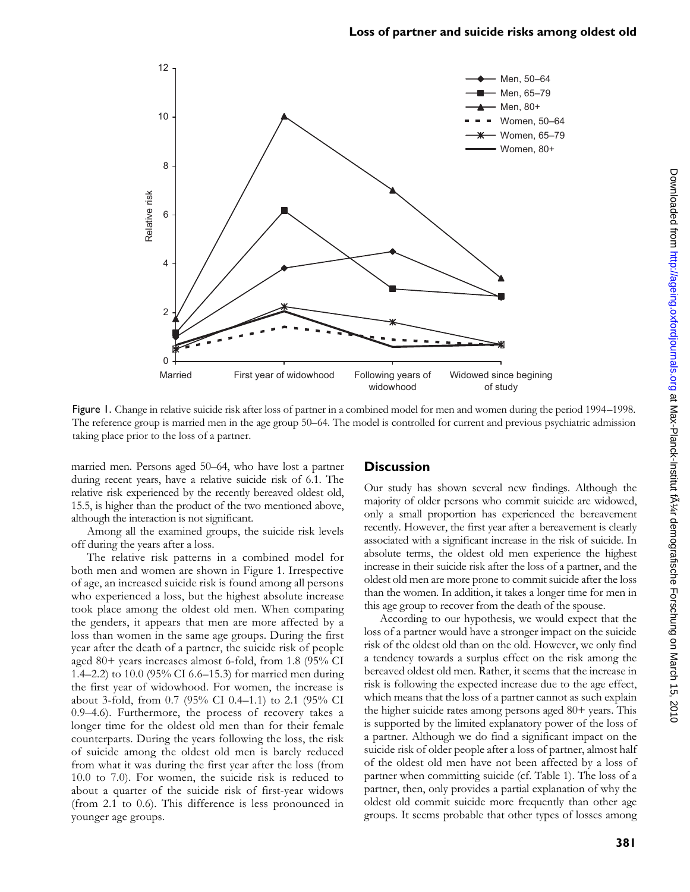

Figure 1. Change in relative suicide risk after loss of partner in a combined model for men and women during the period 1994–1998. The reference group is married men in the age group 50–64. The model is controlled for current and previous psychiatric admission taking place prior to the loss of a partner.

married men. Persons aged 50–64, who have lost a partner during recent years, have a relative suicide risk of 6.1. The relative risk experienced by the recently bereaved oldest old, 15.5, is higher than the product of the two mentioned above, although the interaction is not significant.

Among all the examined groups, the suicide risk levels off during the years after a loss.

The relative risk patterns in a combined model for both men and women are shown in Figure 1. Irrespective of age, an increased suicide risk is found among all persons who experienced a loss, but the highest absolute increase took place among the oldest old men. When comparing the genders, it appears that men are more affected by a loss than women in the same age groups. During the first year after the death of a partner, the suicide risk of people aged 80+ years increases almost 6-fold, from 1.8 (95% CI 1.4–2.2) to 10.0 (95% CI 6.6–15.3) for married men during the first year of widowhood. For women, the increase is about 3-fold, from 0.7 (95% CI 0.4–1.1) to 2.1 (95% CI 0.9–4.6). Furthermore, the process of recovery takes a longer time for the oldest old men than for their female counterparts. During the years following the loss, the risk of suicide among the oldest old men is barely reduced from what it was during the first year after the loss (from 10.0 to 7.0). For women, the suicide risk is reduced to about a quarter of the suicide risk of first-year widows (from 2.1 to 0.6). This difference is less pronounced in younger age groups.

#### **Discussion**

Our study has shown several new findings. Although the majority of older persons who commit suicide are widowed, only a small proportion has experienced the bereavement recently. However, the first year after a bereavement is clearly associated with a significant increase in the risk of suicide. In absolute terms, the oldest old men experience the highest increase in their suicide risk after the loss of a partner, and the oldest old men are more prone to commit suicide after the loss than the women. In addition, it takes a longer time for men in this age group to recover from the death of the spouse.

According to our hypothesis, we would expect that the loss of a partner would have a stronger impact on the suicide risk of the oldest old than on the old. However, we only find a tendency towards a surplus effect on the risk among the bereaved oldest old men. Rather, it seems that the increase in risk is following the expected increase due to the age effect, which means that the loss of a partner cannot as such explain the higher suicide rates among persons aged 80+ years. This is supported by the limited explanatory power of the loss of a partner. Although we do find a significant impact on the suicide risk of older people after a loss of partner, almost half of the oldest old men have not been affected by a loss of partner when committing suicide (cf. Table 1). The loss of a partner, then, only provides a partial explanation of why the oldest old commit suicide more frequently than other age groups. It seems probable that other types of losses among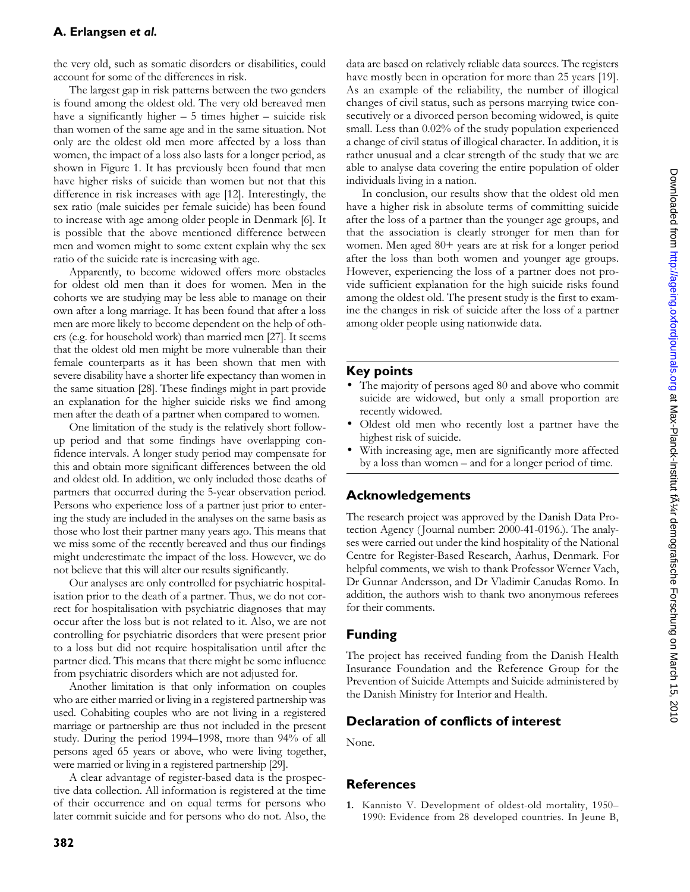the very old, such as somatic disorders or disabilities, could account for some of the differences in risk.

The largest gap in risk patterns between the two genders is found among the oldest old. The very old bereaved men have a significantly higher  $-5$  times higher  $-$  suicide risk than women of the same age and in the same situation. Not only are the oldest old men more affected by a loss than women, the impact of a loss also lasts for a longer period, as shown in Figure 1. It has previously been found that men have higher risks of suicide than women but not that this difference in risk increases with age [12]. Interestingly, the sex ratio (male suicides per female suicide) has been found to increase with age among older people in Denmark [6]. It is possible that the above mentioned difference between men and women might to some extent explain why the sex ratio of the suicide rate is increasing with age.

Apparently, to become widowed offers more obstacles for oldest old men than it does for women. Men in the cohorts we are studying may be less able to manage on their own after a long marriage. It has been found that after a loss men are more likely to become dependent on the help of others (e.g. for household work) than married men [27]. It seems that the oldest old men might be more vulnerable than their female counterparts as it has been shown that men with severe disability have a shorter life expectancy than women in the same situation [28]. These findings might in part provide an explanation for the higher suicide risks we find among men after the death of a partner when compared to women.

One limitation of the study is the relatively short followup period and that some findings have overlapping confidence intervals. A longer study period may compensate for this and obtain more significant differences between the old and oldest old. In addition, we only included those deaths of partners that occurred during the 5-year observation period. Persons who experience loss of a partner just prior to entering the study are included in the analyses on the same basis as those who lost their partner many years ago. This means that we miss some of the recently bereaved and thus our findings might underestimate the impact of the loss. However, we do not believe that this will alter our results significantly.

Our analyses are only controlled for psychiatric hospitalisation prior to the death of a partner. Thus, we do not correct for hospitalisation with psychiatric diagnoses that may occur after the loss but is not related to it. Also, we are not controlling for psychiatric disorders that were present prior to a loss but did not require hospitalisation until after the partner died. This means that there might be some influence from psychiatric disorders which are not adjusted for.

Another limitation is that only information on couples who are either married or living in a registered partnership was used. Cohabiting couples who are not living in a registered marriage or partnership are thus not included in the present study. During the period 1994–1998, more than 94% of all persons aged 65 years or above, who were living together, were married or living in a registered partnership [29].

A clear advantage of register-based data is the prospective data collection. All information is registered at the time of their occurrence and on equal terms for persons who later commit suicide and for persons who do not. Also, the

a change of civil status of illogical character. In addition, it is rather unusual and a clear strength of the study that we are able to analyse data covering the entire population of older individuals living in a nation. In conclusion, our results show that the oldest old men have a higher risk in absolute terms of committing suicide after the loss of a partner than the younger age groups, and that the association is clearly stronger for men than for women. Men aged 80+ years are at risk for a longer period

after the loss than both women and younger age groups. However, experiencing the loss of a partner does not provide sufficient explanation for the high suicide risks found among the oldest old. The present study is the first to examine the changes in risk of suicide after the loss of a partner among older people using nationwide data.

data are based on relatively reliable data sources. The registers have mostly been in operation for more than 25 years [19]. As an example of the reliability, the number of illogical changes of civil status, such as persons marrying twice consecutively or a divorced person becoming widowed, is quite small. Less than 0.02% of the study population experienced

#### **Key points**

- The majority of persons aged 80 and above who commit suicide are widowed, but only a small proportion are recently widowed.
- Oldest old men who recently lost a partner have the highest risk of suicide.
- With increasing age, men are significantly more affected by a loss than women – and for a longer period of time.

# **Acknowledgements**

The research project was approved by the Danish Data Protection Agency ( Journal number: 2000-41-0196.). The analyses were carried out under the kind hospitality of the National Centre for Register-Based Research, Aarhus, Denmark. For helpful comments, we wish to thank Professor Werner Vach, Dr Gunnar Andersson, and Dr Vladimir Canudas Romo. In addition, the authors wish to thank two anonymous referees for their comments.

## **Funding**

The project has received funding from the Danish Health Insurance Foundation and the Reference Group for the Prevention of Suicide Attempts and Suicide administered by the Danish Ministry for Interior and Health.

## **Declaration of conflicts of interest**

None.

# **References**

**1.** Kannisto V. Development of oldest-old mortality, 1950– 1990: Evidence from 28 developed countries. In Jeune B,